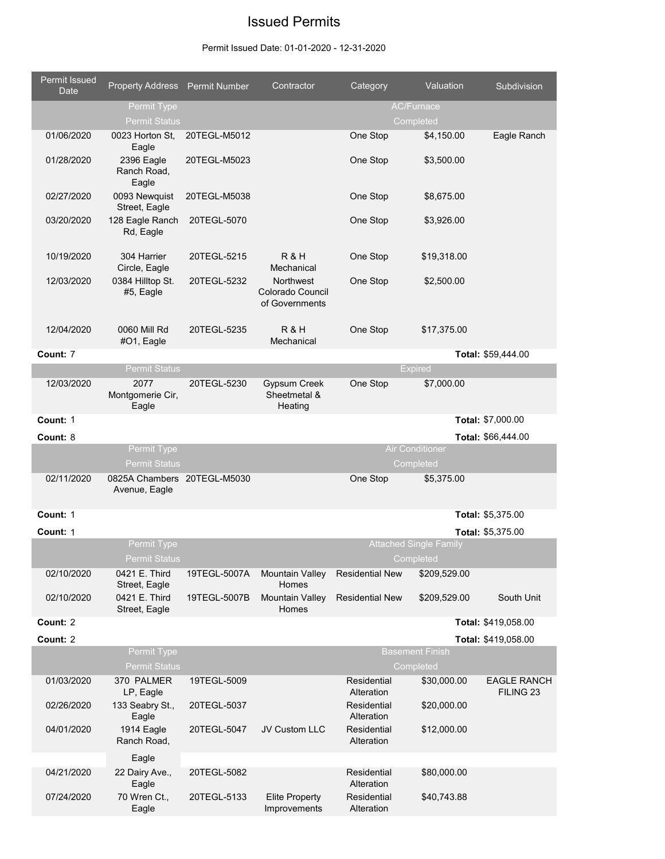## Issued Permits

## Permit Issued Date: 01-01-2020 - 12-31-2020

| Permit Issued<br><b>Date</b> | <b>Property Address</b> Permit Number        |              | Contractor                                      | Category                                | Valuation                                  | Subdivision          |
|------------------------------|----------------------------------------------|--------------|-------------------------------------------------|-----------------------------------------|--------------------------------------------|----------------------|
|                              | Permit Type<br><b>Permit Status</b>          |              |                                                 |                                         | <b>AC/Furnace</b><br>Completed             |                      |
| 01/06/2020                   | 0023 Horton St.                              | 20TEGL-M5012 |                                                 | One Stop                                | \$4,150.00                                 | Eagle Ranch          |
| 01/28/2020                   | Eagle<br>2396 Eagle<br>Ranch Road,<br>Eagle  | 20TEGL-M5023 |                                                 | One Stop                                | \$3,500.00                                 |                      |
| 02/27/2020                   | 0093 Newquist<br>Street, Eagle               | 20TEGL-M5038 |                                                 | One Stop                                | \$8,675.00                                 |                      |
| 03/20/2020                   | 128 Eagle Ranch<br>Rd, Eagle                 | 20TEGL-5070  |                                                 | One Stop                                | \$3,926.00                                 |                      |
| 10/19/2020                   | 304 Harrier<br>Circle, Eagle                 | 20TEGL-5215  | R&H<br>Mechanical                               | One Stop                                | \$19,318.00                                |                      |
| 12/03/2020                   | 0384 Hilltop St.<br>#5, Eagle                | 20TEGL-5232  | Northwest<br>Colorado Council<br>of Governments | One Stop                                | \$2,500.00                                 |                      |
| 12/04/2020                   | 0060 Mill Rd<br>#O1, Eagle                   | 20TEGL-5235  | R & H<br>Mechanical                             | One Stop                                | \$17,375.00                                |                      |
| Count: 7                     |                                              |              |                                                 |                                         |                                            | Total: \$59,444.00   |
|                              | <b>Permit Status</b>                         |              |                                                 |                                         | <b>Expired</b>                             |                      |
| 12/03/2020                   | 2077<br>Montgomerie Cir,<br>Eagle            | 20TEGL-5230  | <b>Gypsum Creek</b><br>Sheetmetal &<br>Heating  | One Stop                                | \$7,000.00                                 |                      |
| Count: 1                     |                                              |              |                                                 |                                         |                                            | Total: \$7,000.00    |
| Count: 8                     |                                              |              |                                                 |                                         |                                            | Total: \$66,444.00   |
|                              | Permit Type<br><b>Permit Status</b>          |              |                                                 |                                         | <b>Air Conditioner</b><br>Completed        |                      |
| 02/11/2020                   | 0825A Chambers 20TEGL-M5030<br>Avenue, Eagle |              |                                                 | One Stop                                | \$5,375.00                                 |                      |
| Count: 1                     |                                              |              |                                                 |                                         |                                            | Total: \$5,375.00    |
| Count: 1                     |                                              |              |                                                 |                                         |                                            | Total: \$5,375.00    |
|                              | Permit Type<br><b>Permit Status</b>          |              |                                                 |                                         | <b>Attached Single Family</b><br>Completed |                      |
| 02/10/2020                   | 0421 E. Third<br>Street, Eagle               | 19TEGL-5007A | <b>Mountain Valley</b><br>Homes                 | <b>Residential New</b>                  | \$209,529.00                               |                      |
| 02/10/2020                   | 0421 E. Third<br>Street, Eagle               | 19TEGL-5007B | <b>Mountain Valley</b><br>Homes                 | <b>Residential New</b>                  | \$209,529.00                               | South Unit           |
| Count: 2                     |                                              |              |                                                 |                                         |                                            | Total: \$419,058.00  |
| Count: 2                     |                                              |              |                                                 |                                         |                                            | Total: \$419,058.00  |
|                              | Permit Type<br><b>Permit Status</b>          |              |                                                 |                                         | <b>Basement Finish</b><br>Completed        |                      |
| 01/03/2020                   | 370 PALMER                                   | 19TEGL-5009  |                                                 | Residential                             | \$30,000.00                                | <b>EAGLE RANCH</b>   |
| 02/26/2020                   | LP, Eagle<br>133 Seabry St.,<br>Eagle        | 20TEGL-5037  |                                                 | Alteration<br>Residential<br>Alteration | \$20,000.00                                | FILING <sub>23</sub> |
| 04/01/2020                   | 1914 Eagle<br>Ranch Road,                    | 20TEGL-5047  | JV Custom LLC                                   | Residential<br>Alteration               | \$12,000.00                                |                      |
|                              | Eagle                                        |              |                                                 |                                         |                                            |                      |
| 04/21/2020                   | 22 Dairy Ave.,<br>Eagle                      | 20TEGL-5082  |                                                 | Residential<br>Alteration               | \$80,000.00                                |                      |
| 07/24/2020                   | 70 Wren Ct.,<br>Eagle                        | 20TEGL-5133  | <b>Elite Property</b><br>Improvements           | Residential<br>Alteration               | \$40,743.88                                |                      |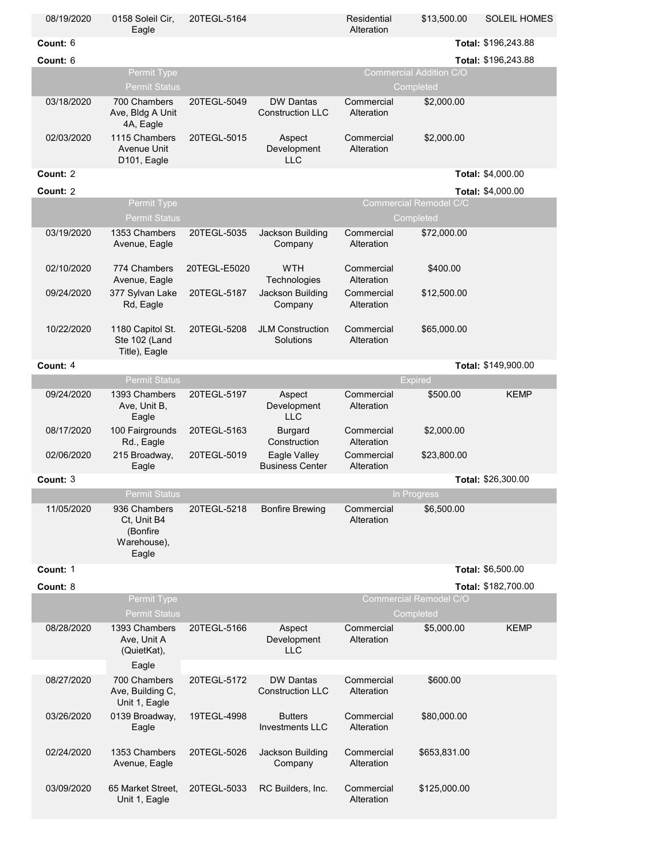| 08/19/2020 | 0158 Soleil Cir,<br>Eagle                                       | 20TEGL-5164  |                                             | Residential<br>Alteration | \$13,500.00                         | <b>SOLEIL HOMES</b> |
|------------|-----------------------------------------------------------------|--------------|---------------------------------------------|---------------------------|-------------------------------------|---------------------|
| Count: 6   |                                                                 |              |                                             |                           |                                     | Total: \$196,243.88 |
| Count: 6   |                                                                 |              |                                             |                           |                                     | Total: \$196,243.88 |
|            | Permit Type                                                     |              |                                             |                           | <b>Commercial Addition C/O</b>      |                     |
|            | <b>Permit Status</b>                                            |              |                                             |                           | Completed                           |                     |
| 03/18/2020 | 700 Chambers<br>Ave, Bldg A Unit<br>4A, Eagle                   | 20TEGL-5049  | <b>DW Dantas</b><br><b>Construction LLC</b> | Commercial<br>Alteration  | \$2,000.00                          |                     |
| 02/03/2020 | 1115 Chambers<br><b>Avenue Unit</b><br>D101, Eagle              | 20TEGL-5015  | Aspect<br>Development<br><b>LLC</b>         | Commercial<br>Alteration  | \$2,000.00                          |                     |
| Count: 2   |                                                                 |              |                                             |                           |                                     | Total: \$4,000.00   |
| Count: 2   |                                                                 |              |                                             |                           |                                     | Total: \$4,000.00   |
|            | Permit Type                                                     |              |                                             |                           | <b>Commercial Remodel C/C</b>       |                     |
|            | <b>Permit Status</b>                                            |              |                                             |                           | Completed                           |                     |
| 03/19/2020 | 1353 Chambers<br>Avenue, Eagle                                  | 20TEGL-5035  | Jackson Building<br>Company                 | Commercial<br>Alteration  | \$72,000.00                         |                     |
| 02/10/2020 | 774 Chambers<br>Avenue, Eagle                                   | 20TEGL-E5020 | <b>WTH</b><br>Technologies                  | Commercial<br>Alteration  | \$400.00                            |                     |
| 09/24/2020 | 377 Sylvan Lake<br>Rd, Eagle                                    | 20TEGL-5187  | Jackson Building<br>Company                 | Commercial<br>Alteration  | \$12,500.00                         |                     |
| 10/22/2020 | 1180 Capitol St.<br>Ste 102 (Land<br>Title), Eagle              | 20TEGL-5208  | <b>JLM Construction</b><br>Solutions        | Commercial<br>Alteration  | \$65,000.00                         |                     |
| Count: 4   |                                                                 |              |                                             |                           |                                     | Total: \$149,900.00 |
|            | <b>Permit Status</b>                                            |              |                                             |                           | Expired                             |                     |
| 09/24/2020 | 1393 Chambers<br>Ave, Unit B,<br>Eagle                          | 20TEGL-5197  | Aspect<br>Development<br><b>LLC</b>         | Commercial<br>Alteration  | \$500.00                            | <b>KEMP</b>         |
| 08/17/2020 | 100 Fairgrounds<br>Rd., Eagle                                   | 20TEGL-5163  | <b>Burgard</b><br>Construction              | Commercial<br>Alteration  | \$2,000.00                          |                     |
| 02/06/2020 | 215 Broadway,<br>Eagle                                          | 20TEGL-5019  | Eagle Valley<br><b>Business Center</b>      | Commercial<br>Alteration  | \$23,800.00                         |                     |
| Count: 3   |                                                                 |              |                                             |                           |                                     | Total: \$26,300.00  |
|            | <b>Permit Status</b>                                            |              |                                             |                           | In Progress                         |                     |
| 11/05/2020 | 936 Chambers<br>Ct, Unit B4<br>(Bonfire<br>Warehouse),<br>Eagle | 20TEGL-5218  | <b>Bonfire Brewing</b>                      | Commercial<br>Alteration  | \$6,500.00                          |                     |
| Count: 1   |                                                                 |              |                                             |                           |                                     | Total: \$6,500.00   |
| Count: 8   |                                                                 |              |                                             |                           |                                     | Total: \$182,700.00 |
|            | Permit Type<br><b>Permit Status</b>                             |              |                                             |                           | Commercial Remodel C/O<br>Completed |                     |
| 08/28/2020 | 1393 Chambers<br>Ave, Unit A<br>(QuietKat),                     | 20TEGL-5166  | Aspect<br>Development<br><b>LLC</b>         | Commercial<br>Alteration  | \$5,000.00                          | <b>KEMP</b>         |
|            | Eagle                                                           |              |                                             |                           |                                     |                     |
| 08/27/2020 | 700 Chambers<br>Ave, Building C,<br>Unit 1, Eagle               | 20TEGL-5172  | <b>DW Dantas</b><br><b>Construction LLC</b> | Commercial<br>Alteration  | \$600.00                            |                     |
| 03/26/2020 | 0139 Broadway,<br>Eagle                                         | 19TEGL-4998  | <b>Butters</b><br><b>Investments LLC</b>    | Commercial<br>Alteration  | \$80,000.00                         |                     |
| 02/24/2020 | 1353 Chambers<br>Avenue, Eagle                                  | 20TEGL-5026  | Jackson Building<br>Company                 | Commercial<br>Alteration  | \$653,831.00                        |                     |
| 03/09/2020 | 65 Market Street,<br>Unit 1, Eagle                              | 20TEGL-5033  | RC Builders, Inc.                           | Commercial<br>Alteration  | \$125,000.00                        |                     |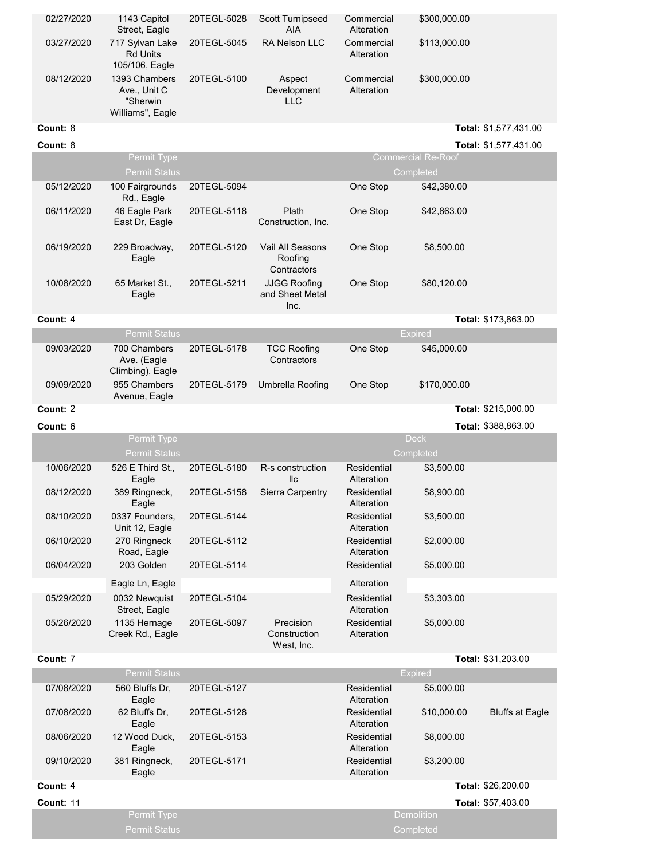| 02/27/2020 | 1143 Capitol<br>Street, Eagle                                 | 20TEGL-5028 | <b>Scott Turnipseed</b><br><b>AIA</b>          | Commercial<br>Alteration  | \$300,000.00              |                        |
|------------|---------------------------------------------------------------|-------------|------------------------------------------------|---------------------------|---------------------------|------------------------|
| 03/27/2020 | 717 Sylvan Lake<br><b>Rd Units</b><br>105/106, Eagle          | 20TEGL-5045 | RA Nelson LLC                                  | Commercial<br>Alteration  | \$113,000.00              |                        |
| 08/12/2020 | 1393 Chambers<br>Ave., Unit C<br>"Sherwin<br>Williams", Eagle | 20TEGL-5100 | Aspect<br>Development<br><b>LLC</b>            | Commercial<br>Alteration  | \$300,000.00              |                        |
| Count: 8   |                                                               |             |                                                |                           |                           | Total: \$1,577,431.00  |
| Count: 8   |                                                               |             |                                                |                           |                           | Total: \$1,577,431.00  |
|            | Permit Type                                                   |             |                                                |                           | <b>Commercial Re-Roof</b> |                        |
|            | <b>Permit Status</b>                                          |             |                                                |                           | Completed                 |                        |
| 05/12/2020 | 100 Fairgrounds<br>Rd., Eagle                                 | 20TEGL-5094 |                                                | One Stop                  | \$42,380.00               |                        |
| 06/11/2020 | 46 Eagle Park<br>East Dr, Eagle                               | 20TEGL-5118 | Plath<br>Construction, Inc.                    | One Stop                  | \$42,863.00               |                        |
| 06/19/2020 | 229 Broadway,<br>Eagle                                        | 20TEGL-5120 | Vail All Seasons<br>Roofing<br>Contractors     | One Stop                  | \$8,500.00                |                        |
| 10/08/2020 | 65 Market St.,<br>Eagle                                       | 20TEGL-5211 | <b>JJGG Roofing</b><br>and Sheet Metal<br>Inc. | One Stop                  | \$80,120.00               |                        |
| Count: 4   |                                                               |             |                                                |                           |                           | Total: \$173,863.00    |
|            | <b>Permit Status</b>                                          |             |                                                |                           | Expired                   |                        |
| 09/03/2020 | 700 Chambers                                                  | 20TEGL-5178 | <b>TCC Roofing</b>                             | One Stop                  | \$45,000.00               |                        |
|            | Ave. (Eagle<br>Climbing), Eagle                               |             | Contractors                                    |                           |                           |                        |
| 09/09/2020 | 955 Chambers<br>Avenue, Eagle                                 | 20TEGL-5179 | Umbrella Roofing                               | One Stop                  | \$170,000.00              |                        |
| Count: 2   |                                                               |             |                                                |                           |                           | Total: \$215,000.00    |
| Count: 6   |                                                               |             |                                                |                           |                           | Total: \$388,863.00    |
|            | Permit Type<br>Permit Status                                  |             |                                                |                           | <b>Deck</b><br>Completed  |                        |
| 10/06/2020 | 526 E Third St.,<br>Eagle                                     | 20TEGL-5180 | R-s construction<br>llc                        | Residential<br>Alteration | \$3,500.00                |                        |
| 08/12/2020 | 389 Ringneck,<br>Eagle                                        | 20TEGL-5158 | Sierra Carpentry                               | Residential<br>Alteration | \$8,900.00                |                        |
| 08/10/2020 | 0337 Founders,<br>Unit 12, Eagle                              | 20TEGL-5144 |                                                | Residential<br>Alteration | \$3,500.00                |                        |
| 06/10/2020 | 270 Ringneck<br>Road, Eagle                                   | 20TEGL-5112 |                                                | Residential<br>Alteration | \$2,000.00                |                        |
| 06/04/2020 | 203 Golden                                                    | 20TEGL-5114 |                                                | Residential               | \$5,000.00                |                        |
|            | Eagle Ln, Eagle                                               |             |                                                | Alteration                |                           |                        |
| 05/29/2020 | 0032 Newquist<br>Street, Eagle                                | 20TEGL-5104 |                                                | Residential<br>Alteration | \$3,303.00                |                        |
| 05/26/2020 | 1135 Hernage<br>Creek Rd., Eagle                              | 20TEGL-5097 | Precision<br>Construction<br>West, Inc.        | Residential<br>Alteration | \$5,000.00                |                        |
| Count: 7   |                                                               |             |                                                |                           |                           | Total: \$31,203.00     |
|            | <b>Permit Status</b>                                          |             |                                                |                           | <b>Expired</b>            |                        |
| 07/08/2020 | 560 Bluffs Dr,<br>Eagle                                       | 20TEGL-5127 |                                                | Residential<br>Alteration | \$5,000.00                |                        |
| 07/08/2020 | 62 Bluffs Dr.<br>Eagle                                        | 20TEGL-5128 |                                                | Residential<br>Alteration | \$10,000.00               | <b>Bluffs at Eagle</b> |
| 08/06/2020 | 12 Wood Duck,<br>Eagle                                        | 20TEGL-5153 |                                                | Residential<br>Alteration | \$8,000.00                |                        |

\$3,200.00

**Count:** 4 **Total:** \$26,200.00 **Count:** 11 **Total:** \$57,403.00<br>Permit Type **Count:** 21 **Count:** 557,403.00 4 **Total:** 11 **Total:** Permit Type

Residential Alteration

20TEGL-5171

09/10/2020 381 Ringneck,

Eagle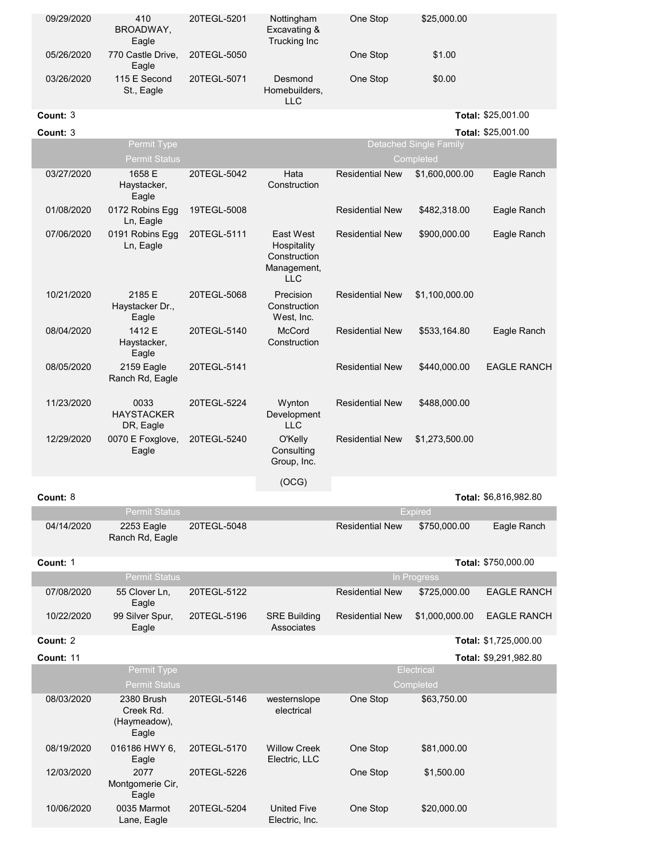| 09/29/2020 | 410<br>BROADWAY,<br>Eagle                        | 20TEGL-5201 | Nottingham<br>Excavating &<br>Trucking Inc                            | One Stop               | \$25,000.00                                |                       |
|------------|--------------------------------------------------|-------------|-----------------------------------------------------------------------|------------------------|--------------------------------------------|-----------------------|
| 05/26/2020 | 770 Castle Drive,<br>Eagle                       | 20TEGL-5050 |                                                                       | One Stop               | \$1.00                                     |                       |
| 03/26/2020 | 115 E Second<br>St., Eagle                       | 20TEGL-5071 | Desmond<br>Homebuilders,<br><b>LLC</b>                                | One Stop               | \$0.00                                     |                       |
| Count: 3   |                                                  |             |                                                                       |                        |                                            | Total: \$25,001.00    |
| Count: 3   |                                                  |             |                                                                       |                        |                                            | Total: \$25,001.00    |
|            | Permit Type<br><b>Permit Status</b>              |             |                                                                       |                        | <b>Detached Single Family</b><br>Completed |                       |
| 03/27/2020 | 1658 E<br>Haystacker,<br>Eagle                   | 20TEGL-5042 | Hata<br>Construction                                                  | <b>Residential New</b> | \$1,600,000.00                             | Eagle Ranch           |
| 01/08/2020 | 0172 Robins Egg<br>Ln, Eagle                     | 19TEGL-5008 |                                                                       | <b>Residential New</b> | \$482,318.00                               | Eagle Ranch           |
| 07/06/2020 | 0191 Robins Egg<br>Ln, Eagle                     | 20TEGL-5111 | East West<br>Hospitality<br>Construction<br>Management,<br><b>LLC</b> | <b>Residential New</b> | \$900,000.00                               | Eagle Ranch           |
| 10/21/2020 | 2185 E<br>Haystacker Dr.,<br>Eagle               | 20TEGL-5068 | Precision<br>Construction<br>West, Inc.                               | <b>Residential New</b> | \$1,100,000.00                             |                       |
| 08/04/2020 | 1412 E<br>Haystacker,<br>Eagle                   | 20TEGL-5140 | McCord<br>Construction                                                | <b>Residential New</b> | \$533,164.80                               | Eagle Ranch           |
| 08/05/2020 | 2159 Eagle<br>Ranch Rd, Eagle                    | 20TEGL-5141 |                                                                       | <b>Residential New</b> | \$440,000.00                               | <b>EAGLE RANCH</b>    |
| 11/23/2020 | 0033<br><b>HAYSTACKER</b><br>DR, Eagle           | 20TEGL-5224 | Wynton<br>Development<br><b>LLC</b>                                   | <b>Residential New</b> | \$488,000.00                               |                       |
| 12/29/2020 | 0070 E Foxglove,<br>Eagle                        | 20TEGL-5240 | O'Kelly<br>Consulting<br>Group, Inc.                                  | <b>Residential New</b> | \$1,273,500.00                             |                       |
|            |                                                  |             | (OCG)                                                                 |                        |                                            |                       |
| Count: 8   |                                                  |             |                                                                       |                        |                                            | Total: \$6,816,982.80 |
|            | <b>Permit Status</b>                             |             |                                                                       |                        | <b>Expired</b>                             |                       |
| 04/14/2020 | 2253 Eagle<br>Ranch Rd, Eagle                    | 20TEGL-5048 |                                                                       | <b>Residential New</b> | \$750,000.00                               | Eagle Ranch           |
| Count: 1   |                                                  |             |                                                                       |                        |                                            | Total: \$750,000.00   |
|            | <b>Permit Status</b>                             |             |                                                                       |                        | In Progress                                |                       |
| 07/08/2020 | 55 Clover Ln,<br>Eagle                           | 20TEGL-5122 |                                                                       | <b>Residential New</b> | \$725,000.00                               | <b>EAGLE RANCH</b>    |
| 10/22/2020 | 99 Silver Spur,<br>Eagle                         | 20TEGL-5196 | <b>SRE Building</b><br>Associates                                     | <b>Residential New</b> | \$1,000,000.00                             | <b>EAGLE RANCH</b>    |
| Count: 2   |                                                  |             |                                                                       |                        |                                            | Total: \$1,725,000.00 |
| Count: 11  | Permit Type                                      |             |                                                                       |                        | Electrical                                 | Total: \$9,291,982.80 |
|            | Permit Status                                    |             |                                                                       |                        | Completed                                  |                       |
| 08/03/2020 | 2380 Brush<br>Creek Rd.<br>(Haymeadow),<br>Eagle | 20TEGL-5146 | westernslope<br>electrical                                            | One Stop               | \$63,750.00                                |                       |
| 08/19/2020 | 016186 HWY 6,<br>Eagle                           | 20TEGL-5170 | <b>Willow Creek</b><br>Electric, LLC                                  | One Stop               | \$81,000.00                                |                       |
| 12/03/2020 | 2077<br>Montgomerie Cir,<br>Eagle                | 20TEGL-5226 |                                                                       | One Stop               | \$1,500.00                                 |                       |
| 10/06/2020 | 0035 Marmot<br>Lane, Eagle                       | 20TEGL-5204 | <b>United Five</b><br>Electric, Inc.                                  | One Stop               | \$20,000.00                                |                       |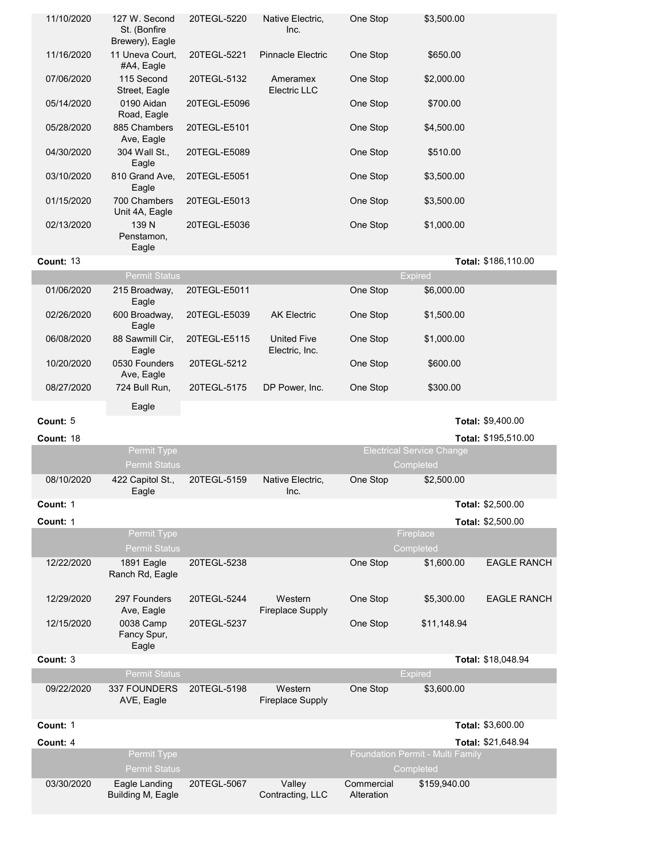| 11/10/2020       | 127 W. Second<br>St. (Bonfire<br>Brewery), Eagle | 20TEGL-5220  | Native Electric,<br>Inc.             | One Stop                 | \$3,500.00                                    |                     |
|------------------|--------------------------------------------------|--------------|--------------------------------------|--------------------------|-----------------------------------------------|---------------------|
| 11/16/2020       | 11 Uneva Court,<br>#A4, Eagle                    | 20TEGL-5221  | <b>Pinnacle Electric</b>             | One Stop                 | \$650.00                                      |                     |
| 07/06/2020       | 115 Second<br>Street, Eagle                      | 20TEGL-5132  | Ameramex<br>Electric LLC             | One Stop                 | \$2,000.00                                    |                     |
| 05/14/2020       | 0190 Aidan<br>Road, Eagle                        | 20TEGL-E5096 |                                      | One Stop                 | \$700.00                                      |                     |
| 05/28/2020       | 885 Chambers<br>Ave, Eagle                       | 20TEGL-E5101 |                                      | One Stop                 | \$4,500.00                                    |                     |
| 04/30/2020       | 304 Wall St.,<br>Eagle                           | 20TEGL-E5089 |                                      | One Stop                 | \$510.00                                      |                     |
| 03/10/2020       | 810 Grand Ave,<br>Eagle                          | 20TEGL-E5051 |                                      | One Stop                 | \$3,500.00                                    |                     |
| 01/15/2020       | 700 Chambers<br>Unit 4A, Eagle                   | 20TEGL-E5013 |                                      | One Stop                 | \$3,500.00                                    |                     |
| 02/13/2020       | 139 N<br>Penstamon,<br>Eagle                     | 20TEGL-E5036 |                                      | One Stop                 | \$1,000.00                                    |                     |
| <b>Count: 13</b> |                                                  |              |                                      |                          |                                               | Total: \$186,110.00 |
|                  | <b>Permit Status</b>                             |              |                                      |                          | <b>Expired</b>                                |                     |
| 01/06/2020       | 215 Broadway,<br>Eagle                           | 20TEGL-E5011 |                                      | One Stop                 | \$6,000.00                                    |                     |
| 02/26/2020       | 600 Broadway,<br>Eagle                           | 20TEGL-E5039 | <b>AK Electric</b>                   | One Stop                 | \$1,500.00                                    |                     |
| 06/08/2020       | 88 Sawmill Cir,<br>Eagle                         | 20TEGL-E5115 | <b>United Five</b><br>Electric, Inc. | One Stop                 | \$1,000.00                                    |                     |
| 10/20/2020       | 0530 Founders<br>Ave, Eagle                      | 20TEGL-5212  |                                      | One Stop                 | \$600.00                                      |                     |
| 08/27/2020       | 724 Bull Run,<br>Eagle                           | 20TEGL-5175  | DP Power, Inc.                       | One Stop                 | \$300.00                                      |                     |
| Count: 5         |                                                  |              |                                      |                          |                                               | Total: \$9,400.00   |
| Count: 18        |                                                  |              |                                      |                          |                                               | Total: \$195,510.00 |
|                  | Permit Type                                      |              |                                      |                          | <b>Electrical Service Change</b>              |                     |
|                  | <b>Permit Status</b>                             |              |                                      |                          | Completed                                     |                     |
| 08/10/2020       | 422 Capitol St.,<br>Eagle                        | 20TEGL-5159  | Native Electric,<br>Inc.             | One Stop                 | \$2,500.00                                    |                     |
| Count: 1         |                                                  |              |                                      |                          |                                               | Total: \$2,500.00   |
| Count: 1         | Permit Type                                      |              |                                      |                          | Fireplace                                     | Total: \$2,500.00   |
|                  | <b>Permit Status</b>                             |              |                                      |                          | Completed                                     |                     |
| 12/22/2020       | 1891 Eagle<br>Ranch Rd, Eagle                    | 20TEGL-5238  |                                      | One Stop                 | \$1,600.00                                    | <b>EAGLE RANCH</b>  |
| 12/29/2020       | 297 Founders<br>Ave, Eagle                       | 20TEGL-5244  | Western<br><b>Fireplace Supply</b>   | One Stop                 | \$5,300.00                                    | <b>EAGLE RANCH</b>  |
| 12/15/2020       | 0038 Camp<br>Fancy Spur,<br>Eagle                | 20TEGL-5237  |                                      | One Stop                 | \$11,148.94                                   |                     |
| Count: 3         |                                                  |              |                                      |                          |                                               | Total: \$18,048.94  |
|                  | <b>Permit Status</b>                             |              |                                      |                          | <b>Expired</b>                                |                     |
| 09/22/2020       | 337 FOUNDERS<br>AVE, Eagle                       | 20TEGL-5198  | Western<br><b>Fireplace Supply</b>   | One Stop                 | \$3,600.00                                    |                     |
|                  |                                                  |              |                                      |                          |                                               |                     |
| Count: 1         |                                                  |              |                                      |                          |                                               | Total: \$3,600.00   |
| Count: 4         |                                                  |              |                                      |                          |                                               | Total: \$21,648.94  |
|                  | Permit Type<br><b>Permit Status</b>              |              |                                      |                          | Foundation Permit - Multi Family<br>Completed |                     |
| 03/30/2020       | Eagle Landing<br>Building M, Eagle               | 20TEGL-5067  | Valley<br>Contracting, LLC           | Commercial<br>Alteration | \$159,940.00                                  |                     |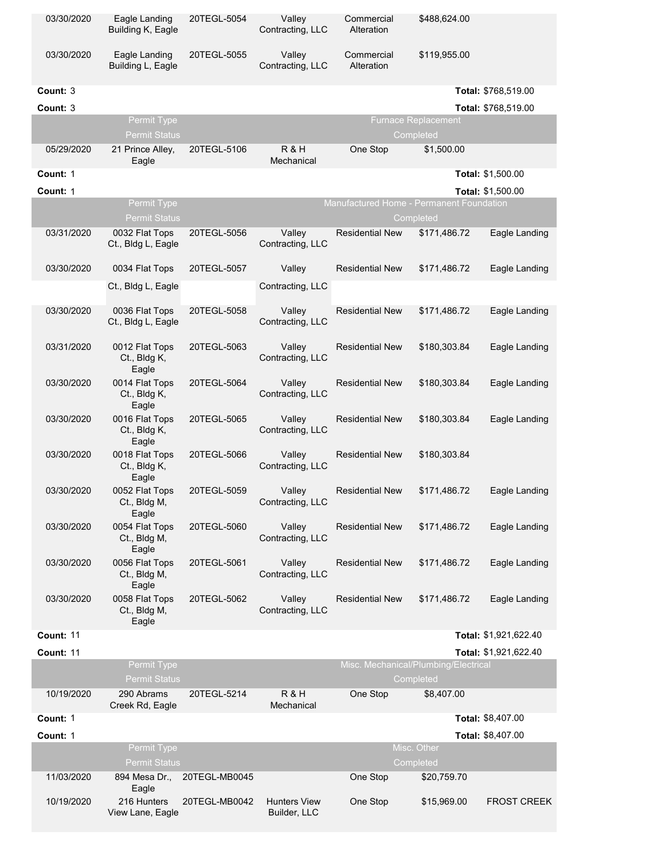| 03/30/2020       | Eagle Landing<br>Building K, Eagle       | 20TEGL-5054   | Valley<br>Contracting, LLC          | Commercial<br>Alteration                 | \$488,624.00                                      |                       |
|------------------|------------------------------------------|---------------|-------------------------------------|------------------------------------------|---------------------------------------------------|-----------------------|
| 03/30/2020       | Eagle Landing<br>Building L, Eagle       | 20TEGL-5055   | Valley<br>Contracting, LLC          | Commercial<br>Alteration                 | \$119,955.00                                      |                       |
| Count: 3         |                                          |               |                                     |                                          |                                                   | Total: \$768,519.00   |
| Count: 3         |                                          |               |                                     |                                          |                                                   | Total: \$768,519.00   |
|                  | Permit Type                              |               |                                     |                                          | <b>Furnace Replacement</b>                        |                       |
|                  | <b>Permit Status</b>                     |               |                                     |                                          | Completed                                         |                       |
| 05/29/2020       | 21 Prince Alley,<br>Eagle                | 20TEGL-5106   | R&H<br>Mechanical                   | One Stop                                 | \$1,500.00                                        |                       |
| Count: 1         |                                          |               |                                     |                                          |                                                   | Total: \$1,500.00     |
| Count: 1         |                                          |               |                                     |                                          |                                                   | Total: \$1,500.00     |
|                  | Permit Type<br><b>Permit Status</b>      |               |                                     | Manufactured Home - Permanent Foundation | Completed                                         |                       |
| 03/31/2020       | 0032 Flat Tops<br>Ct., Bldg L, Eagle     | 20TEGL-5056   | Valley<br>Contracting, LLC          | <b>Residential New</b>                   | \$171,486.72                                      | Eagle Landing         |
| 03/30/2020       | 0034 Flat Tops                           | 20TEGL-5057   | Valley                              | <b>Residential New</b>                   | \$171,486.72                                      | Eagle Landing         |
|                  | Ct., Bldg L, Eagle                       |               | Contracting, LLC                    |                                          |                                                   |                       |
| 03/30/2020       | 0036 Flat Tops<br>Ct., Bldg L, Eagle     | 20TEGL-5058   | Valley<br>Contracting, LLC          | <b>Residential New</b>                   | \$171,486.72                                      | Eagle Landing         |
| 03/31/2020       | 0012 Flat Tops<br>Ct., Bldg K,<br>Eagle  | 20TEGL-5063   | Valley<br>Contracting, LLC          | <b>Residential New</b>                   | \$180,303.84                                      | Eagle Landing         |
| 03/30/2020       | 0014 Flat Tops<br>Ct., Bldg K,<br>Eagle  | 20TEGL-5064   | Valley<br>Contracting, LLC          | <b>Residential New</b>                   | \$180,303.84                                      | Eagle Landing         |
| 03/30/2020       | 0016 Flat Tops<br>Ct., Bldg K,<br>Eagle  | 20TEGL-5065   | Valley<br>Contracting, LLC          | <b>Residential New</b>                   | \$180,303.84                                      | Eagle Landing         |
| 03/30/2020       | 0018 Flat Tops<br>Ct., Bldg K,<br>Eagle  | 20TEGL-5066   | Valley<br>Contracting, LLC          | <b>Residential New</b>                   | \$180,303.84                                      |                       |
| 03/30/2020       | 0052 Flat Tops<br>Ct., Bldg M,<br>Eagle  | 20TEGL-5059   | Valley<br>Contracting, LLC          | <b>Residential New</b>                   | \$171,486.72                                      | Eagle Landing         |
| 03/30/2020       | 0054 Flat Tops<br>Ct., Bldg M,<br>Eagle  | 20TEGL-5060   | Valley<br>Contracting, LLC          | <b>Residential New</b>                   | \$171,486.72                                      | Eagle Landing         |
| 03/30/2020       | 0056 Flat Tops<br>Ct., Bldg M,<br>Eagle  | 20TEGL-5061   | Valley<br>Contracting, LLC          | <b>Residential New</b>                   | \$171,486.72                                      | Eagle Landing         |
| 03/30/2020       | 0058 Flat Tops<br>Ct., Bldg M,<br>Eagle  | 20TEGL-5062   | Valley<br>Contracting, LLC          | <b>Residential New</b>                   | \$171,486.72                                      | Eagle Landing         |
| <b>Count: 11</b> |                                          |               |                                     |                                          |                                                   | Total: \$1,921,622.40 |
| Count: 11        |                                          |               |                                     |                                          |                                                   | Total: \$1,921,622.40 |
|                  | Permit Type<br><b>Permit Status</b>      |               |                                     |                                          | Misc. Mechanical/Plumbing/Electrical<br>Completed |                       |
| 10/19/2020       | 290 Abrams<br>Creek Rd, Eagle            | 20TEGL-5214   | R&H<br>Mechanical                   | One Stop                                 | \$8,407.00                                        |                       |
| Count: 1         |                                          |               |                                     |                                          |                                                   | Total: \$8,407.00     |
| Count: 1         |                                          |               |                                     |                                          |                                                   | Total: \$8,407.00     |
|                  | Permit Type<br><b>Permit Status</b>      |               |                                     |                                          | Misc. Other<br>Completed                          |                       |
| 11/03/2020       | 894 Mesa Dr.,                            | 20TEGL-MB0045 |                                     | One Stop                                 | \$20,759.70                                       |                       |
| 10/19/2020       | Eagle<br>216 Hunters<br>View Lane, Eagle | 20TEGL-MB0042 | <b>Hunters View</b><br>Builder, LLC | One Stop                                 | \$15,969.00                                       | <b>FROST CREEK</b>    |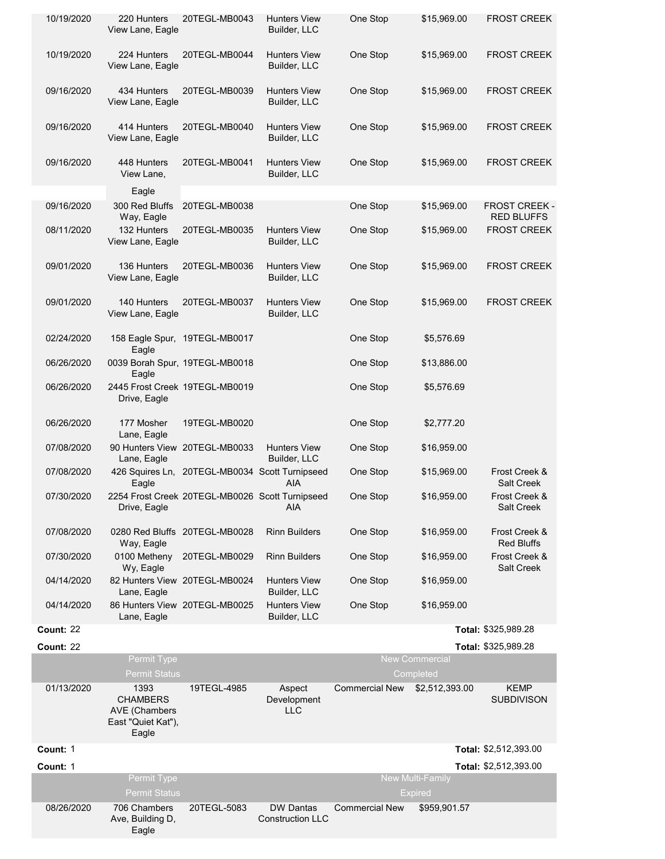| 10/19/2020       | 220 Hunters<br>View Lane, Eagle                                                | 20TEGL-MB0043                                   | Hunters View<br>Builder, LLC                | One Stop              | \$15,969.00                               | <b>FROST CREEK</b>                 |
|------------------|--------------------------------------------------------------------------------|-------------------------------------------------|---------------------------------------------|-----------------------|-------------------------------------------|------------------------------------|
| 10/19/2020       | 224 Hunters<br>View Lane, Eagle                                                | 20TEGL-MB0044                                   | <b>Hunters View</b><br>Builder, LLC         | One Stop              | \$15,969.00                               | <b>FROST CREEK</b>                 |
| 09/16/2020       | 434 Hunters<br>View Lane, Eagle                                                | 20TEGL-MB0039                                   | <b>Hunters View</b><br>Builder, LLC         | One Stop              | \$15,969.00                               | <b>FROST CREEK</b>                 |
| 09/16/2020       | 414 Hunters<br>View Lane, Eagle                                                | 20TEGL-MB0040                                   | <b>Hunters View</b><br>Builder, LLC         | One Stop              | \$15,969.00                               | <b>FROST CREEK</b>                 |
| 09/16/2020       | 448 Hunters<br>View Lane,                                                      | 20TEGL-MB0041                                   | <b>Hunters View</b><br>Builder, LLC         | One Stop              | \$15,969.00                               | <b>FROST CREEK</b>                 |
|                  | Eagle                                                                          |                                                 |                                             |                       |                                           |                                    |
| 09/16/2020       | 300 Red Bluffs<br>Way, Eagle                                                   | 20TEGL-MB0038                                   |                                             | One Stop              | \$15,969.00                               | FROST CREEK -<br><b>RED BLUFFS</b> |
| 08/11/2020       | 132 Hunters<br>View Lane, Eagle                                                | 20TEGL-MB0035                                   | <b>Hunters View</b><br>Builder, LLC         | One Stop              | \$15,969.00                               | <b>FROST CREEK</b>                 |
| 09/01/2020       | 136 Hunters<br>View Lane, Eagle                                                | 20TEGL-MB0036                                   | <b>Hunters View</b><br>Builder, LLC         | One Stop              | \$15,969.00                               | <b>FROST CREEK</b>                 |
| 09/01/2020       | 140 Hunters<br>View Lane, Eagle                                                | 20TEGL-MB0037                                   | <b>Hunters View</b><br>Builder, LLC         | One Stop              | \$15,969.00                               | <b>FROST CREEK</b>                 |
| 02/24/2020       | Eagle                                                                          | 158 Eagle Spur, 19TEGL-MB0017                   |                                             | One Stop              | \$5,576.69                                |                                    |
| 06/26/2020       | Eagle                                                                          | 0039 Borah Spur, 19TEGL-MB0018                  |                                             | One Stop              | \$13,886.00                               |                                    |
| 06/26/2020       | Drive, Eagle                                                                   | 2445 Frost Creek 19TEGL-MB0019                  |                                             | One Stop              | \$5,576.69                                |                                    |
| 06/26/2020       | 177 Mosher<br>Lane, Eagle                                                      | 19TEGL-MB0020                                   |                                             | One Stop              | \$2,777.20                                |                                    |
| 07/08/2020       | Lane, Eagle                                                                    | 90 Hunters View 20TEGL-MB0033                   | <b>Hunters View</b><br>Builder, LLC         | One Stop              | \$16,959.00                               |                                    |
| 07/08/2020       | Eagle                                                                          | 426 Squires Ln, 20TEGL-MB0034 Scott Turnipseed  | AIA                                         | One Stop              | \$15,969.00                               | Frost Creek &<br><b>Salt Creek</b> |
| 07/30/2020       | Drive, Eagle                                                                   | 2254 Frost Creek 20TEGL-MB0026 Scott Turnipseed | AIA                                         | One Stop              | \$16,959.00                               | Frost Creek &<br>Salt Creek        |
| 07/08/2020       | Way, Eagle                                                                     | 0280 Red Bluffs 20TEGL-MB0028                   | <b>Rinn Builders</b>                        | One Stop              | \$16,959.00                               | Frost Creek &<br><b>Red Bluffs</b> |
| 07/30/2020       | 0100 Metheny<br>Wy, Eagle                                                      | 20TEGL-MB0029                                   | <b>Rinn Builders</b>                        | One Stop              | \$16,959.00                               | Frost Creek &<br><b>Salt Creek</b> |
| 04/14/2020       | Lane, Eagle                                                                    | 82 Hunters View 20TEGL-MB0024                   | <b>Hunters View</b><br>Builder, LLC         | One Stop              | \$16,959.00                               |                                    |
| 04/14/2020       | Lane, Eagle                                                                    | 86 Hunters View 20TEGL-MB0025                   | <b>Hunters View</b><br>Builder, LLC         | One Stop              | \$16,959.00                               |                                    |
| Count: 22        |                                                                                |                                                 |                                             |                       |                                           | Total: \$325,989.28                |
| <b>Count: 22</b> |                                                                                |                                                 |                                             |                       |                                           | Total: \$325,989.28                |
|                  | Permit Type<br><b>Permit Status</b>                                            |                                                 |                                             |                       | <b>New Commercial</b><br>Completed        |                                    |
| 01/13/2020       | 1393<br><b>CHAMBERS</b><br><b>AVE</b> (Chambers<br>East "Quiet Kat"),<br>Eagle | 19TEGL-4985                                     | Aspect<br>Development<br><b>LLC</b>         | <b>Commercial New</b> | \$2,512,393.00                            | <b>KEMP</b><br><b>SUBDIVISON</b>   |
| Count: 1         |                                                                                |                                                 |                                             |                       |                                           | Total: \$2,512,393.00              |
| Count: 1         |                                                                                |                                                 |                                             |                       |                                           | Total: \$2,512,393.00              |
|                  | Permit Type<br><b>Permit Status</b>                                            |                                                 |                                             |                       | <b>New Multi-Family</b><br><b>Expired</b> |                                    |
| 08/26/2020       | 706 Chambers<br>Ave, Building D,<br>Eagle                                      | 20TEGL-5083                                     | <b>DW Dantas</b><br><b>Construction LLC</b> | <b>Commercial New</b> | \$959,901.57                              |                                    |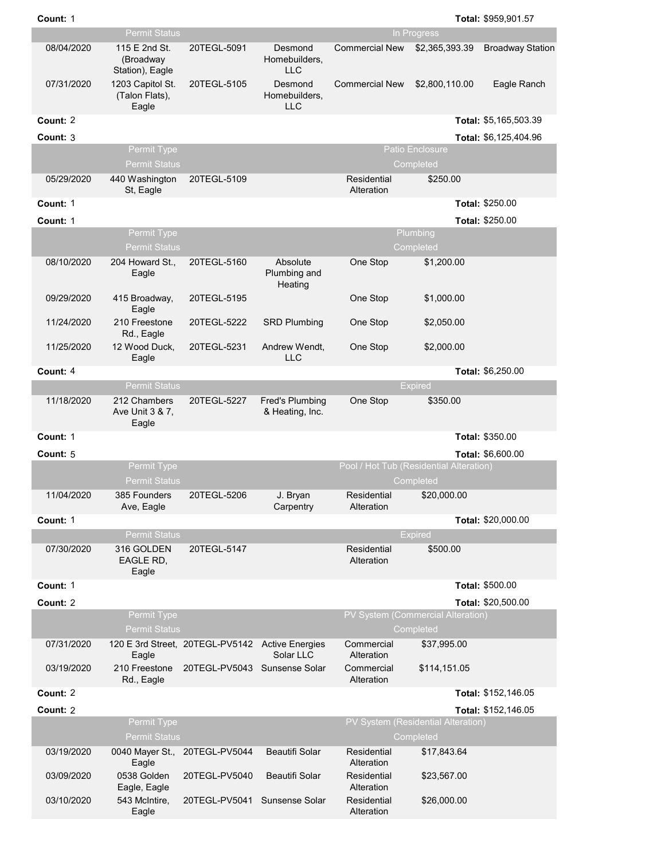|            | <b>Permit Status</b>                          |                                 |                                           |                           | In Progress                                          |                         |
|------------|-----------------------------------------------|---------------------------------|-------------------------------------------|---------------------------|------------------------------------------------------|-------------------------|
| 08/04/2020 | 115 E 2nd St.<br>(Broadway<br>Station), Eagle | 20TEGL-5091                     | Desmond<br>Homebuilders,<br><b>LLC</b>    | <b>Commercial New</b>     | \$2,365,393.39                                       | <b>Broadway Station</b> |
| 07/31/2020 | 1203 Capitol St.<br>(Talon Flats),<br>Eagle   | 20TEGL-5105                     | Desmond<br>Homebuilders,<br><b>LLC</b>    | <b>Commercial New</b>     | \$2,800,110.00                                       | Eagle Ranch             |
| Count: 2   |                                               |                                 |                                           |                           |                                                      | Total: \$5,165,503.39   |
| Count: 3   |                                               |                                 |                                           |                           |                                                      | Total: \$6,125,404.96   |
|            | Permit Type                                   |                                 |                                           |                           | <b>Patio Enclosure</b>                               |                         |
|            | <b>Permit Status</b>                          |                                 |                                           |                           | Completed                                            |                         |
| 05/29/2020 | 440 Washington<br>St, Eagle                   | 20TEGL-5109                     |                                           | Residential<br>Alteration | \$250.00                                             |                         |
| Count: 1   |                                               |                                 |                                           |                           |                                                      | Total: \$250.00         |
| Count: 1   |                                               |                                 |                                           |                           |                                                      | Total: \$250.00         |
|            | Permit Type<br><b>Permit Status</b>           |                                 |                                           |                           | Plumbing<br>Completed                                |                         |
| 08/10/2020 | 204 Howard St.,<br>Eagle                      | 20TEGL-5160                     | Absolute<br>Plumbing and<br>Heating       | One Stop                  | \$1,200.00                                           |                         |
| 09/29/2020 | 415 Broadway,<br>Eagle                        | 20TEGL-5195                     |                                           | One Stop                  | \$1,000.00                                           |                         |
| 11/24/2020 | 210 Freestone<br>Rd., Eagle                   | 20TEGL-5222                     | <b>SRD Plumbing</b>                       | One Stop                  | \$2,050.00                                           |                         |
| 11/25/2020 | 12 Wood Duck,<br>Eagle                        | 20TEGL-5231                     | Andrew Wendt,<br><b>LLC</b>               | One Stop                  | \$2,000.00                                           |                         |
| Count: 4   |                                               |                                 |                                           |                           |                                                      | Total: \$6,250.00       |
|            | <b>Permit Status</b>                          |                                 |                                           |                           | <b>Expired</b>                                       |                         |
| 11/18/2020 | 212 Chambers<br>Ave Unit 3 & 7,<br>Eagle      | 20TEGL-5227                     | <b>Fred's Plumbing</b><br>& Heating, Inc. | One Stop                  | \$350.00                                             |                         |
| Count: 1   |                                               |                                 |                                           |                           |                                                      | Total: \$350.00         |
| Count: 5   |                                               |                                 |                                           |                           |                                                      | Total: \$6,600.00       |
|            | Permit Type<br><b>Permit Status</b>           |                                 |                                           |                           | Pool / Hot Tub (Residential Alteration)<br>Completed |                         |
| 11/04/2020 | 385 Founders<br>Ave, Eagle                    | 20TEGL-5206                     | J. Bryan<br>Carpentry                     | Residential<br>Alteration | \$20,000.00                                          |                         |
| Count: 1   |                                               |                                 |                                           |                           |                                                      | Total: \$20,000.00      |
|            | <b>Permit Status</b>                          |                                 |                                           |                           | <b>Expired</b>                                       |                         |
| 07/30/2020 | 316 GOLDEN<br>EAGLE RD,<br>Eagle              | 20TEGL-5147                     |                                           | Residential<br>Alteration | \$500.00                                             |                         |
| Count: 1   |                                               |                                 |                                           |                           |                                                      | Total: \$500.00         |
| Count: 2   |                                               |                                 |                                           |                           |                                                      | Total: \$20,500.00      |
|            | Permit Type<br><b>Permit Status</b>           |                                 |                                           |                           | PV System (Commercial Alteration)<br>Completed       |                         |
| 07/31/2020 | Eagle                                         | 120 E 3rd Street, 20TEGL-PV5142 | <b>Active Energies</b><br>Solar LLC       | Commercial<br>Alteration  | \$37,995.00                                          |                         |
| 03/19/2020 | 210 Freestone<br>Rd., Eagle                   | 20TEGL-PV5043 Sunsense Solar    |                                           | Commercial<br>Alteration  | \$114,151.05                                         |                         |
| Count: 2   |                                               |                                 |                                           |                           |                                                      | Total: \$152,146.05     |
| Count: 2   |                                               |                                 |                                           |                           |                                                      | Total: \$152,146.05     |
|            | Permit Type                                   |                                 |                                           |                           | PV System (Residential Alteration)                   |                         |
|            | <b>Permit Status</b>                          |                                 |                                           |                           | Completed                                            |                         |
| 03/19/2020 | Eagle                                         | 0040 Mayer St., 20TEGL-PV5044   | Beautifi Solar                            | Residential<br>Alteration | \$17,843.64                                          |                         |
| 03/09/2020 | 0538 Golden<br>Eagle, Eagle                   | 20TEGL-PV5040                   | Beautifi Solar                            | Residential<br>Alteration | \$23,567.00                                          |                         |
| 03/10/2020 | 543 McIntire,<br>Eagle                        | 20TEGL-PV5041                   | Sunsense Solar                            | Residential<br>Alteration | \$26,000.00                                          |                         |

**Count:** 1

1 **Total:**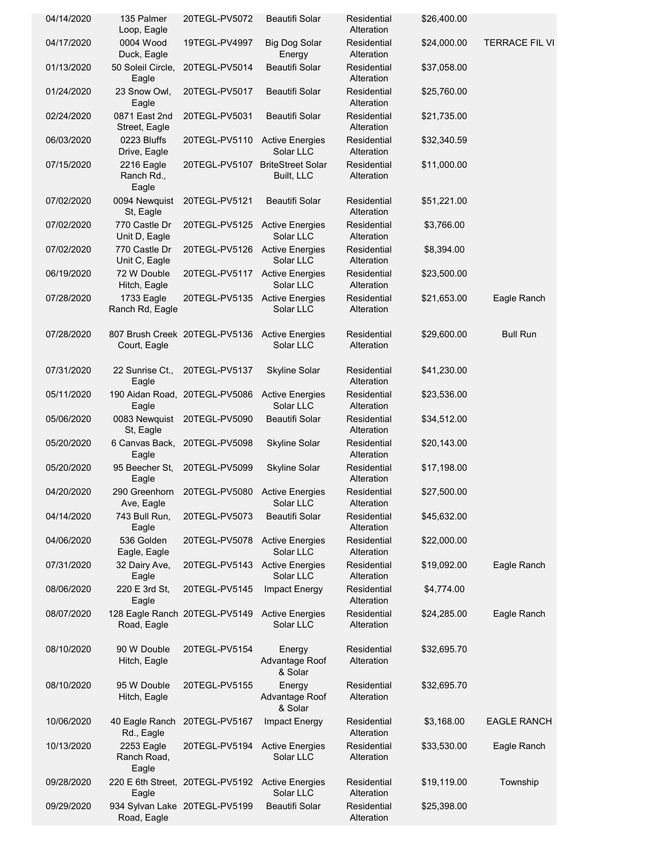| 04/14/2020 | 135 Palmer<br>Loop, Eagle          | 20TEGL-PV5072                   | Beautifi Solar                         | Residential<br>Alteration | \$26,400.00 |                       |
|------------|------------------------------------|---------------------------------|----------------------------------------|---------------------------|-------------|-----------------------|
| 04/17/2020 | 0004 Wood<br>Duck, Eagle           | 19TEGL-PV4997                   | <b>Big Dog Solar</b><br>Energy         | Residential<br>Alteration | \$24,000.00 | <b>TERRACE FIL VI</b> |
| 01/13/2020 | 50 Soleil Circle,<br>Eagle         | 20TEGL-PV5014                   | <b>Beautifi Solar</b>                  | Residential<br>Alteration | \$37,058.00 |                       |
| 01/24/2020 | 23 Snow Owl,<br>Eagle              | 20TEGL-PV5017                   | Beautifi Solar                         | Residential<br>Alteration | \$25,760.00 |                       |
| 02/24/2020 | 0871 East 2nd<br>Street, Eagle     | 20TEGL-PV5031                   | Beautifi Solar                         | Residential<br>Alteration | \$21,735.00 |                       |
| 06/03/2020 | 0223 Bluffs<br>Drive, Eagle        | 20TEGL-PV5110                   | <b>Active Energies</b><br>Solar LLC    | Residential<br>Alteration | \$32,340.59 |                       |
| 07/15/2020 | 2216 Eagle<br>Ranch Rd.,<br>Eagle  | 20TEGL-PV5107                   | <b>BriteStreet Solar</b><br>Built, LLC | Residential<br>Alteration | \$11,000.00 |                       |
| 07/02/2020 | 0094 Newquist<br>St, Eagle         | 20TEGL-PV5121                   | Beautifi Solar                         | Residential<br>Alteration | \$51,221.00 |                       |
| 07/02/2020 | 770 Castle Dr<br>Unit D, Eagle     | 20TEGL-PV5125                   | <b>Active Energies</b><br>Solar LLC    | Residential<br>Alteration | \$3,766.00  |                       |
| 07/02/2020 | 770 Castle Dr<br>Unit C, Eagle     | 20TEGL-PV5126                   | <b>Active Energies</b><br>Solar LLC    | Residential<br>Alteration | \$8,394.00  |                       |
| 06/19/2020 | 72 W Double<br>Hitch, Eagle        | 20TEGL-PV5117                   | <b>Active Energies</b><br>Solar LLC    | Residential<br>Alteration | \$23,500.00 |                       |
| 07/28/2020 | 1733 Eagle<br>Ranch Rd, Eagle      | 20TEGL-PV5135                   | <b>Active Energies</b><br>Solar LLC    | Residential<br>Alteration | \$21,653.00 | Eagle Ranch           |
| 07/28/2020 | Court, Eagle                       | 807 Brush Creek 20TEGL-PV5136   | <b>Active Energies</b><br>Solar LLC    | Residential<br>Alteration | \$29,600.00 | <b>Bull Run</b>       |
| 07/31/2020 | 22 Sunrise Ct.,<br>Eagle           | 20TEGL-PV5137                   | <b>Skyline Solar</b>                   | Residential<br>Alteration | \$41,230.00 |                       |
| 05/11/2020 | Eagle                              | 190 Aidan Road, 20TEGL-PV5086   | <b>Active Energies</b><br>Solar LLC    | Residential<br>Alteration | \$23,536.00 |                       |
| 05/06/2020 | 0083 Newquist<br>St, Eagle         | 20TEGL-PV5090                   | Beautifi Solar                         | Residential<br>Alteration | \$34,512.00 |                       |
| 05/20/2020 | 6 Canvas Back,<br>Eagle            | 20TEGL-PV5098                   | <b>Skyline Solar</b>                   | Residential<br>Alteration | \$20,143.00 |                       |
| 05/20/2020 | 95 Beecher St,<br>Eagle            | 20TEGL-PV5099                   | Skyline Solar                          | Residential<br>Alteration | \$17,198.00 |                       |
| 04/20/2020 | 290 Greenhorn<br>Ave, Lagle        | 20TEGL-PV5080                   | <b>Active Energies</b><br>Solar LLC    | Residential<br>Alteration | \$27,500.00 |                       |
| 04/14/2020 | 743 Bull Run,<br>Eagle             | 20TEGL-PV5073                   | Beautifi Solar                         | Residential<br>Alteration | \$45,632.00 |                       |
| 04/06/2020 | 536 Golden<br>Eagle, Eagle         | 20TEGL-PV5078                   | <b>Active Energies</b><br>Solar LLC    | Residential<br>Alteration | \$22,000.00 |                       |
| 07/31/2020 | 32 Dairy Ave,<br>Eagle             | 20TEGL-PV5143                   | <b>Active Energies</b><br>Solar LLC    | Residential<br>Alteration | \$19,092.00 | Eagle Ranch           |
| 08/06/2020 | 220 E 3rd St,<br>Eagle             | 20TEGL-PV5145                   | Impact Energy                          | Residential<br>Alteration | \$4,774.00  |                       |
| 08/07/2020 | Road, Eagle                        | 128 Eagle Ranch 20TEGL-PV5149   | <b>Active Energies</b><br>Solar LLC    | Residential<br>Alteration | \$24,285.00 | Eagle Ranch           |
| 08/10/2020 | 90 W Double<br>Hitch, Eagle        | 20TEGL-PV5154                   | Energy<br>Advantage Roof<br>& Solar    | Residential<br>Alteration | \$32,695.70 |                       |
| 08/10/2020 | 95 W Double<br>Hitch, Eagle        | 20TEGL-PV5155                   | Energy<br>Advantage Roof<br>& Solar    | Residential<br>Alteration | \$32,695.70 |                       |
| 10/06/2020 | 40 Eagle Ranch<br>Rd., Eagle       | 20TEGL-PV5167                   | Impact Energy                          | Residential<br>Alteration | \$3,168.00  | <b>EAGLE RANCH</b>    |
| 10/13/2020 | 2253 Eagle<br>Ranch Road,<br>Eagle | 20TEGL-PV5194                   | <b>Active Energies</b><br>Solar LLC    | Residential<br>Alteration | \$33,530.00 | Eagle Ranch           |
| 09/28/2020 | Eagle                              | 220 E 6th Street, 20TEGL-PV5192 | <b>Active Energies</b><br>Solar LLC    | Residential<br>Alteration | \$19,119.00 | Township              |
| 09/29/2020 | Road, Eagle                        | 934 Sylvan Lake 20TEGL-PV5199   | Beautifi Solar                         | Residential<br>Alteration | \$25,398.00 |                       |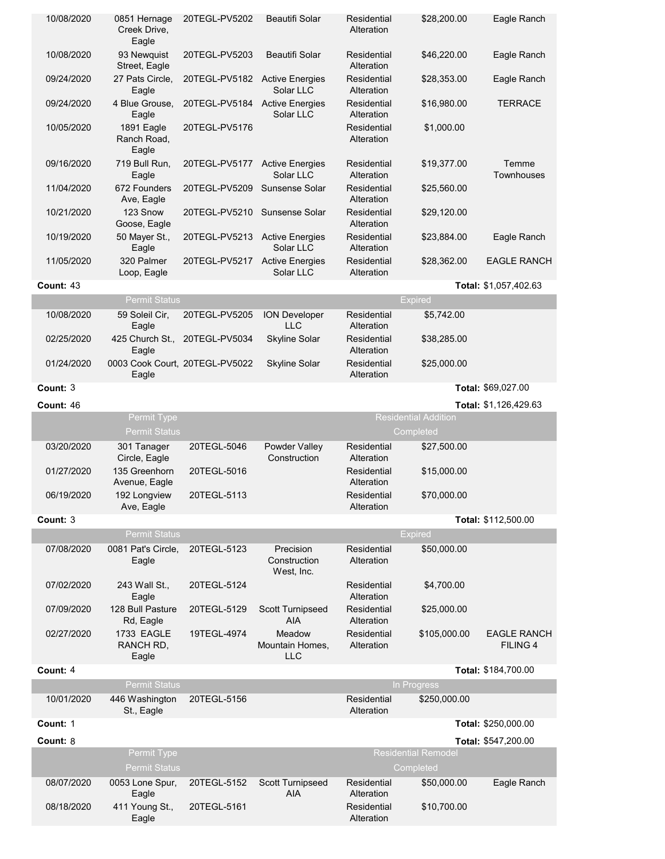| 10/08/2020 | 0851 Hernage<br>Creek Drive,<br>Eagle   | 20TEGL-PV5202                 | <b>Beautifi Solar</b>                   | Residential<br>Alteration | \$28,200.00                             | Eagle Ranch                           |
|------------|-----------------------------------------|-------------------------------|-----------------------------------------|---------------------------|-----------------------------------------|---------------------------------------|
| 10/08/2020 | 93 Newquist<br>Street, Eagle            | 20TEGL-PV5203                 | <b>Beautifi Solar</b>                   | Residential<br>Alteration | \$46,220.00                             | Eagle Ranch                           |
| 09/24/2020 | 27 Pats Circle,<br>Eagle                | 20TEGL-PV5182 Active Energies | Solar LLC                               | Residential<br>Alteration | \$28,353.00                             | Eagle Ranch                           |
| 09/24/2020 | 4 Blue Grouse,<br>Eagle                 | 20TEGL-PV5184                 | <b>Active Energies</b><br>Solar LLC     | Residential<br>Alteration | \$16,980.00                             | <b>TERRACE</b>                        |
| 10/05/2020 | 1891 Eagle<br>Ranch Road,<br>Eagle      | 20TEGL-PV5176                 |                                         | Residential<br>Alteration | \$1,000.00                              |                                       |
| 09/16/2020 | 719 Bull Run,<br>Eagle                  | 20TEGL-PV5177                 | <b>Active Energies</b><br>Solar LLC     | Residential<br>Alteration | \$19,377.00                             | Temme<br><b>Townhouses</b>            |
| 11/04/2020 | 672 Founders<br>Ave, Eagle              | 20TEGL-PV5209                 | Sunsense Solar                          | Residential<br>Alteration | \$25,560.00                             |                                       |
| 10/21/2020 | 123 Snow<br>Goose, Eagle                | 20TEGL-PV5210                 | Sunsense Solar                          | Residential<br>Alteration | \$29,120.00                             |                                       |
| 10/19/2020 | 50 Mayer St.,<br>Eagle                  | 20TEGL-PV5213                 | <b>Active Energies</b><br>Solar LLC     | Residential<br>Alteration | \$23,884.00                             | Eagle Ranch                           |
| 11/05/2020 | 320 Palmer<br>Loop, Eagle               | 20TEGL-PV5217                 | <b>Active Energies</b><br>Solar LLC     | Residential<br>Alteration | \$28,362.00                             | <b>EAGLE RANCH</b>                    |
| Count: 43  |                                         |                               |                                         |                           |                                         | Total: \$1,057,402.63                 |
|            | <b>Permit Status</b>                    |                               |                                         |                           | <b>Expired</b>                          |                                       |
| 10/08/2020 | 59 Soleil Cir,<br>Eagle                 | 20TEGL-PV5205                 | <b>ION Developer</b><br><b>LLC</b>      | Residential<br>Alteration | \$5,742.00                              |                                       |
| 02/25/2020 | 425 Church St.,<br>Eagle                | 20TEGL-PV5034                 | <b>Skyline Solar</b>                    | Residential<br>Alteration | \$38,285.00                             |                                       |
| 01/24/2020 | 0003 Cook Court, 20TEGL-PV5022<br>Eagle |                               | <b>Skyline Solar</b>                    | Residential<br>Alteration | \$25,000.00                             |                                       |
| Count: 3   |                                         |                               |                                         |                           |                                         | Total: \$69,027.00                    |
| Count: 46  |                                         |                               |                                         |                           |                                         | Total: \$1,126,429.63                 |
|            | Permit Type                             |                               |                                         |                           | <b>Residential Addition</b>             |                                       |
|            | <b>Permit Status</b>                    |                               |                                         |                           | Completed                               |                                       |
| 03/20/2020 | 301 Tanager                             | 20TEGL-5046                   | Powder Valley<br>Construction           | Residential<br>Alteration | \$27,500.00                             |                                       |
| 01/27/2020 | Circle, Eagle<br>135 Greenhorn          | 20TEGL-5016                   |                                         | Residential<br>Alteration | \$15,000.00                             |                                       |
| 06/19/2020 | Avenue, Eagle<br>192 Longview           | 20TEGL-5113                   |                                         | Residential<br>Alteration | \$70,000.00                             |                                       |
| Count: 3   | Ave, Eagle                              |                               |                                         |                           |                                         | Total: \$112,500.00                   |
|            | <b>Permit Status</b>                    |                               |                                         |                           | <b>Expired</b>                          |                                       |
| 07/08/2020 | 0081 Pat's Circle,<br>Eagle             | 20TEGL-5123                   | Precision<br>Construction<br>West, Inc. | Residential<br>Alteration | \$50,000.00                             |                                       |
| 07/02/2020 | 243 Wall St<br>Eagle                    | 20TEGL-5124                   |                                         | Residential<br>Alteration | \$4,700.00                              |                                       |
| 07/09/2020 | 128 Bull Pasture<br>Rd, Eagle           | 20TEGL-5129                   | <b>Scott Turnipseed</b><br><b>AIA</b>   | Residential<br>Alteration | \$25,000.00                             |                                       |
| 02/27/2020 | <b>1733 EAGLE</b><br>RANCH RD,<br>Eagle | 19TEGL-4974                   | Meadow<br>Mountain Homes,<br><b>LLC</b> | Residential<br>Alteration | \$105,000.00                            | <b>EAGLE RANCH</b><br><b>FILING 4</b> |
| Count: 4   |                                         |                               |                                         |                           |                                         | Total: \$184,700.00                   |
|            | <b>Permit Status</b>                    |                               |                                         |                           | In Progress                             |                                       |
| 10/01/2020 | 446 Washington<br>St., Eagle            | 20TEGL-5156                   |                                         | Residential<br>Alteration | \$250,000.00                            |                                       |
| Count: 1   |                                         |                               |                                         |                           |                                         | Total: \$250,000.00                   |
| Count: 8   |                                         |                               |                                         |                           |                                         | Total: \$547,200.00                   |
|            | Permit Type<br><b>Permit Status</b>     |                               |                                         |                           | <b>Residential Remodel</b><br>Completed |                                       |
| 08/07/2020 | 0053 Lone Spur,<br>Eagle                | 20TEGL-5152                   | Scott Turnipseed<br><b>AIA</b>          | Residential<br>Alteration | \$50,000.00                             | Eagle Ranch                           |
| 08/18/2020 | 411 Young St.,<br>Eagle                 | 20TEGL-5161                   |                                         | Residential<br>Alteration | \$10,700.00                             |                                       |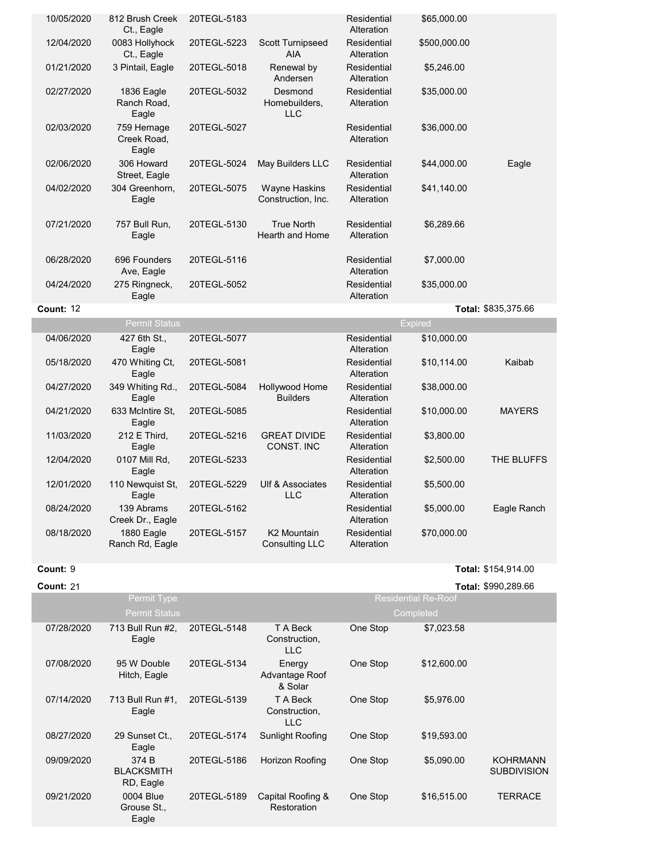| 10/05/2020<br>12/04/2020 | 812 Brush Creek<br>Ct., Eagle       |             |                                             |                           |                |                     |
|--------------------------|-------------------------------------|-------------|---------------------------------------------|---------------------------|----------------|---------------------|
|                          |                                     | 20TEGL-5183 |                                             | Residential<br>Alteration | \$65,000.00    |                     |
|                          | 0083 Hollyhock<br>Ct., Eagle        | 20TEGL-5223 | Scott Turnipseed<br><b>AIA</b>              | Residential<br>Alteration | \$500,000.00   |                     |
| 01/21/2020               | 3 Pintail, Eagle                    | 20TEGL-5018 | Renewal by<br>Andersen                      | Residential<br>Alteration | \$5,246.00     |                     |
| 02/27/2020               | 1836 Eagle<br>Ranch Road,<br>Eagle  | 20TEGL-5032 | Desmond<br>Homebuilders,<br><b>LLC</b>      | Residential<br>Alteration | \$35,000.00    |                     |
| 02/03/2020               | 759 Hernage<br>Creek Road,<br>Eagle | 20TEGL-5027 |                                             | Residential<br>Alteration | \$36,000.00    |                     |
| 02/06/2020               | 306 Howard<br>Street, Eagle         | 20TEGL-5024 | May Builders LLC                            | Residential<br>Alteration | \$44,000.00    | Eagle               |
| 04/02/2020               | 304 Greenhorn,<br>Eagle             | 20TEGL-5075 | <b>Wayne Haskins</b><br>Construction, Inc.  | Residential<br>Alteration | \$41,140.00    |                     |
| 07/21/2020               | 757 Bull Run,<br>Eagle              | 20TEGL-5130 | <b>True North</b><br><b>Hearth and Home</b> | Residential<br>Alteration | \$6,289.66     |                     |
| 06/28/2020               | 696 Founders<br>Ave, Eagle          | 20TEGL-5116 |                                             | Residential<br>Alteration | \$7,000.00     |                     |
| 04/24/2020               | 275 Ringneck,<br>Eagle              | 20TEGL-5052 |                                             | Residential<br>Alteration | \$35,000.00    |                     |
| Count: 12                |                                     |             |                                             |                           |                | Total: \$835,375.66 |
|                          | <b>Permit Status</b>                |             |                                             |                           | <b>Expired</b> |                     |
| 04/06/2020               | 427 6th St.,<br>Eagle               | 20TEGL-5077 |                                             | Residential<br>Alteration | \$10,000.00    |                     |
| 05/18/2020               | 470 Whiting Ct,                     | 20TEGL-5081 |                                             |                           |                |                     |
|                          | Eagle                               |             |                                             | Residential<br>Alteration | \$10,114.00    | Kaibab              |
| 04/27/2020               | 349 Whiting Rd.,<br>Eagle           | 20TEGL-5084 | Hollywood Home<br><b>Builders</b>           | Residential<br>Alteration | \$38,000.00    |                     |
| 04/21/2020               | 633 McIntire St.<br>Eagle           | 20TEGL-5085 |                                             | Residential<br>Alteration | \$10,000.00    | <b>MAYERS</b>       |
| 11/03/2020               | 212 E Third,<br>Eagle               | 20TEGL-5216 | <b>GREAT DIVIDE</b><br>CONST. INC           | Residential<br>Alteration | \$3,800.00     |                     |
| 12/04/2020               | 0107 Mill Rd,<br>Eagle              | 20TEGL-5233 |                                             | Residential<br>Alteration | \$2,500.00     | THE BLUFFS          |
| 12/01/2020               | 110 Newquist St,<br>Eagle           | 20TEGL-5229 | Ulf & Associates<br><b>LLC</b>              | Residential<br>Alteration | \$5,500.00     |                     |
| 08/24/2020               | 139 Abrams<br>Creek Dr., Eagle      | 20TEGL-5162 |                                             | Residential<br>Alteration | \$5,000.00     | Eagle Ranch         |

**Count:** 9 **Total:** \$154,914.00 9 **Total:**

**Count:** 21 **Total:** \$990,289.66 21 **Total:**

| Permit Type |            |                                         |             | <b>Residential Re-Roof</b>              |          |             |                                       |
|-------------|------------|-----------------------------------------|-------------|-----------------------------------------|----------|-------------|---------------------------------------|
|             |            | <b>Permit Status</b>                    |             |                                         |          | Completed   |                                       |
|             | 07/28/2020 | 713 Bull Run #2,<br>Eagle               | 20TEGL-5148 | T A Beck<br>Construction,<br><b>LLC</b> | One Stop | \$7,023.58  |                                       |
|             | 07/08/2020 | 95 W Double<br>Hitch, Eagle             | 20TEGL-5134 | Energy<br>Advantage Roof<br>& Solar     | One Stop | \$12,600.00 |                                       |
|             | 07/14/2020 | 713 Bull Run #1,<br>Eagle               | 20TEGL-5139 | T A Beck<br>Construction,<br><b>LLC</b> | One Stop | \$5,976.00  |                                       |
|             | 08/27/2020 | 29 Sunset Ct<br>Eagle                   | 20TEGL-5174 | <b>Sunlight Roofing</b>                 | One Stop | \$19,593.00 |                                       |
|             | 09/09/2020 | 374 B<br><b>BLACKSMITH</b><br>RD, Eagle | 20TEGL-5186 | Horizon Roofing                         | One Stop | \$5,090.00  | <b>KOHRMANN</b><br><b>SUBDIVISION</b> |
|             | 09/21/2020 | 0004 Blue<br>Grouse St.,<br>Eagle       | 20TEGL-5189 | Capital Roofing &<br>Restoration        | One Stop | \$16,515.00 | <b>TERRACE</b>                        |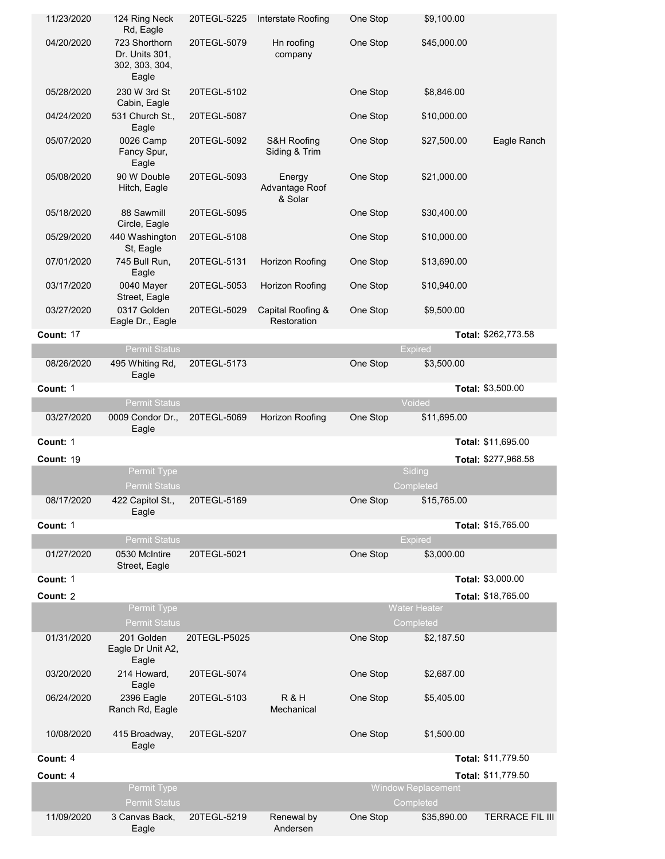| 11/23/2020       | 124 Ring Neck<br>Rd, Eagle                                 | 20TEGL-5225  | Interstate Roofing                  | One Stop | \$9,100.00                             |                        |
|------------------|------------------------------------------------------------|--------------|-------------------------------------|----------|----------------------------------------|------------------------|
| 04/20/2020       | 723 Shorthorn<br>Dr. Units 301,<br>302, 303, 304,<br>Eagle | 20TEGL-5079  | Hn roofing<br>company               | One Stop | \$45,000.00                            |                        |
| 05/28/2020       | 230 W 3rd St<br>Cabin, Eagle                               | 20TEGL-5102  |                                     | One Stop | \$8,846.00                             |                        |
| 04/24/2020       | 531 Church St.,<br>Eagle                                   | 20TEGL-5087  |                                     | One Stop | \$10,000.00                            |                        |
| 05/07/2020       | 0026 Camp<br>Fancy Spur,<br>Eagle                          | 20TEGL-5092  | S&H Roofing<br>Siding & Trim        | One Stop | \$27,500.00                            | Eagle Ranch            |
| 05/08/2020       | 90 W Double<br>Hitch, Eagle                                | 20TEGL-5093  | Energy<br>Advantage Roof<br>& Solar | One Stop | \$21,000.00                            |                        |
| 05/18/2020       | 88 Sawmill<br>Circle, Eagle                                | 20TEGL-5095  |                                     | One Stop | \$30,400.00                            |                        |
| 05/29/2020       | 440 Washington<br>St, Eagle                                | 20TEGL-5108  |                                     | One Stop | \$10,000.00                            |                        |
| 07/01/2020       | 745 Bull Run,<br>Eagle                                     | 20TEGL-5131  | Horizon Roofing                     | One Stop | \$13,690.00                            |                        |
| 03/17/2020       | 0040 Mayer<br>Street, Eagle                                | 20TEGL-5053  | Horizon Roofing                     | One Stop | \$10,940.00                            |                        |
| 03/27/2020       | 0317 Golden<br>Eagle Dr., Eagle                            | 20TEGL-5029  | Capital Roofing &<br>Restoration    | One Stop | \$9,500.00                             |                        |
| <b>Count: 17</b> |                                                            |              |                                     |          |                                        | Total: \$262,773.58    |
|                  | <b>Permit Status</b>                                       |              |                                     |          | <b>Expired</b>                         |                        |
| 08/26/2020       | 495 Whiting Rd,<br>Eagle                                   | 20TEGL-5173  |                                     | One Stop | \$3,500.00                             |                        |
| Count: 1         |                                                            |              |                                     |          |                                        | Total: \$3,500.00      |
|                  | <b>Permit Status</b>                                       |              |                                     |          | Voided                                 |                        |
| 03/27/2020       | 0009 Condor Dr.,<br>Eagle                                  | 20TEGL-5069  | Horizon Roofing                     | One Stop | \$11,695.00                            |                        |
| Count: 1         |                                                            |              |                                     |          |                                        | Total: \$11,695.00     |
| <b>Count: 19</b> |                                                            |              |                                     |          |                                        | Total: \$277,968.58    |
|                  | Permit Type<br><b>Permit Status</b>                        |              |                                     |          | Siding<br>Completed                    |                        |
| 08/17/2020       | 422 Capitol St.,<br>Eagle                                  | 20TEGL-5169  |                                     | One Stop | \$15,765.00                            |                        |
| Count: 1         |                                                            |              |                                     |          |                                        | Total: \$15,765.00     |
|                  | <b>Permit Status</b>                                       |              |                                     |          | <b>Expired</b>                         |                        |
| 01/27/2020       | 0530 McIntire<br>Street, Eagle                             | 20TEGL-5021  |                                     | One Stop | \$3,000.00                             |                        |
| Count: 1         |                                                            |              |                                     |          |                                        | Total: \$3,000.00      |
| Count: 2         |                                                            |              |                                     |          |                                        | Total: \$18,765.00     |
|                  | Permit Type<br><b>Permit Status</b>                        |              |                                     |          | <b>Water Heater</b><br>Completed       |                        |
| 01/31/2020       | 201 Golden<br>Eagle Dr Unit A2,<br>Eagle                   | 20TEGL-P5025 |                                     | One Stop | \$2,187.50                             |                        |
| 03/20/2020       | 214 Howard,<br>Eagle                                       | 20TEGL-5074  |                                     | One Stop | \$2,687.00                             |                        |
| 06/24/2020       | 2396 Eagle<br>Ranch Rd, Eagle                              | 20TEGL-5103  | R&H<br>Mechanical                   | One Stop | \$5,405.00                             |                        |
| 10/08/2020       | 415 Broadway,<br>Eagle                                     | 20TEGL-5207  |                                     | One Stop | \$1,500.00                             |                        |
| Count: 4         |                                                            |              |                                     |          |                                        | Total: \$11,779.50     |
| Count: 4         |                                                            |              |                                     |          |                                        | Total: \$11,779.50     |
|                  | Permit Type<br><b>Permit Status</b>                        |              |                                     |          | <b>Window Replacement</b><br>Completed |                        |
| 11/09/2020       | 3 Canvas Back,                                             | 20TEGL-5219  | Renewal by                          | One Stop | \$35,890.00                            | <b>TERRACE FIL III</b> |
|                  | Eagle                                                      |              | Andersen                            |          |                                        |                        |